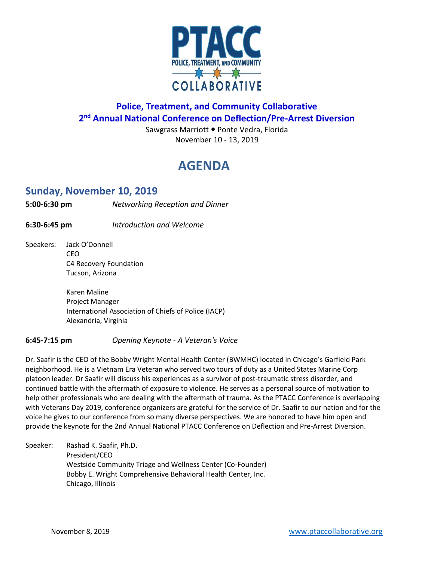

## **Police, Treatment, and Community Collaborative 2 nd Annual National Conference on Deflection/Pre-Arrest Diversion**

Sawgrass Marriott . Ponte Vedra, Florida November 10 - 13, 2019

## **AGENDA**

### **Sunday, November 10, 2019**

**5:00-6:30 pm** *Networking Reception and Dinner*

**6:30-6:45 pm** *Introduction and Welcome*

Speakers: Jack O'Donnell CEO C4 Recovery Foundation Tucson, Arizona

> Karen Maline Project Manager International Association of Chiefs of Police (IACP) Alexandria, Virginia

#### **6:45-7:15 pm** *Opening Keynote - A Veteran's Voice*

Dr. Saafir is the CEO of the Bobby Wright Mental Health Center (BWMHC) located in Chicago's Garfield Park neighborhood. He is a Vietnam Era Veteran who served two tours of duty as a United States Marine Corp platoon leader. Dr Saafir will discuss his experiences as a survivor of post-traumatic stress disorder, and continued battle with the aftermath of exposure to violence. He serves as a personal source of motivation to help other professionals who are dealing with the aftermath of trauma. As the PTACC Conference is overlapping with Veterans Day 2019, conference organizers are grateful for the service of Dr. Saafir to our nation and for the voice he gives to our conference from so many diverse perspectives. We are honored to have him open and provide the keynote for the 2nd Annual National PTACC Conference on Deflection and Pre-Arrest Diversion.

Speaker: Rashad K. Saafir, Ph.D. President/CEO Westside Community Triage and Wellness Center (Co-Founder) Bobby E. Wright Comprehensive Behavioral Health Center, Inc. Chicago, Illinois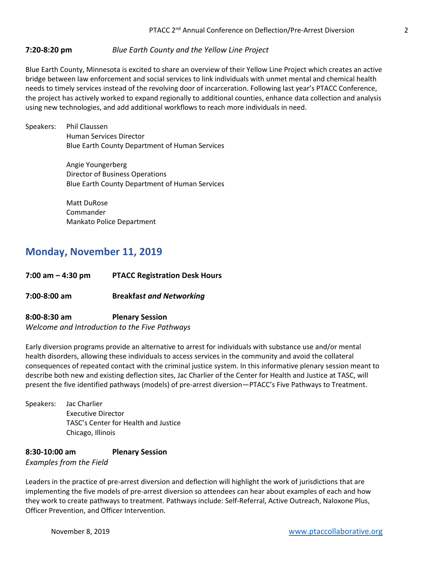#### **7:20-8:20 pm** *Blue Earth County and the Yellow Line Project*

Blue Earth County, Minnesota is excited to share an overview of their Yellow Line Project which creates an active bridge between law enforcement and social services to link individuals with unmet mental and chemical health needs to timely services instead of the revolving door of incarceration. Following last year's PTACC Conference, the project has actively worked to expand regionally to additional counties, enhance data collection and analysis using new technologies, and add additional workflows to reach more individuals in need.

Speakers: Phil Claussen Human Services Director Blue Earth County Department of Human Services

> Angie Youngerberg Director of Business Operations Blue Earth County Department of Human Services

Matt DuRose Commander Mankato Police Department

## **Monday, November 11, 2019**

**7:00 am – 4:30 pm PTACC Registration Desk Hours**

**7:00-8:00 am Breakfas***t and Networking*

**8:00-8:30 am Plenary Session** *Welcome and Introduction to the Five Pathways*

Early diversion programs provide an alternative to arrest for individuals with substance use and/or mental health disorders, allowing these individuals to access services in the community and avoid the collateral consequences of repeated contact with the criminal justice system. In this informative plenary session meant to describe both new and existing deflection sites, Jac Charlier of the Center for Health and Justice at TASC, will present the five identified pathways (models) of pre-arrest diversion—PTACC's Five Pathways to Treatment.

Speakers: Jac Charlier Executive Director TASC's Center for Health and Justice Chicago, Illinois

#### **8:30-10:00 am Plenary Session** *Examples from the Field*

Leaders in the practice of pre-arrest diversion and deflection will highlight the work of jurisdictions that are implementing the five models of pre-arrest diversion so attendees can hear about examples of each and how they work to create pathways to treatment. Pathways include: Self-Referral, Active Outreach, Naloxone Plus, Officer Prevention, and Officer Intervention.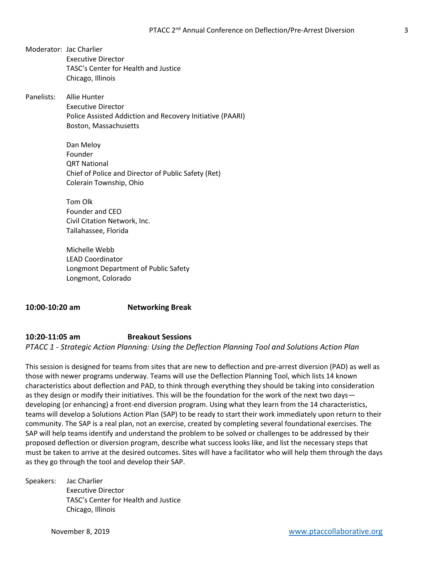- Moderator: Jac Charlier Executive Director TASC's Center for Health and Justice Chicago, Illinois
- Panelists: Allie Hunter Executive Director Police Assisted Addiction and Recovery Initiative (PAARI) Boston, Massachusetts

Dan Meloy Founder QRT National Chief of Police and Director of Public Safety (Ret) Colerain Township, Ohio

Tom Olk Founder and CEO Civil Citation Network, Inc. Tallahassee, Florida

Michelle Webb LEAD Coordinator Longmont Department of Public Safety Longmont, Colorado

**10:00-10:20 am Networking Break**

**10:20-11:05 am Breakout Sessions** *PTACC 1 - Strategic Action Planning: Using the Deflection Planning Tool and Solutions Action Plan* 

This session is designed for teams from sites that are new to deflection and pre-arrest diversion (PAD) as well as those with newer programs underway. Teams will use the Deflection Planning Tool, which lists 14 known characteristics about deflection and PAD, to think through everything they should be taking into consideration as they design or modify their initiatives. This will be the foundation for the work of the next two days developing (or enhancing) a front-end diversion program. Using what they learn from the 14 characteristics, teams will develop a Solutions Action Plan (SAP) to be ready to start their work immediately upon return to their community. The SAP is a real plan, not an exercise, created by completing several foundational exercises. The SAP will help teams identify and understand the problem to be solved or challenges to be addressed by their proposed deflection or diversion program, describe what success looks like, and list the necessary steps that must be taken to arrive at the desired outcomes. Sites will have a facilitator who will help them through the days as they go through the tool and develop their SAP.

Speakers: Jac Charlier Executive Director TASC's Center for Health and Justice Chicago, Illinois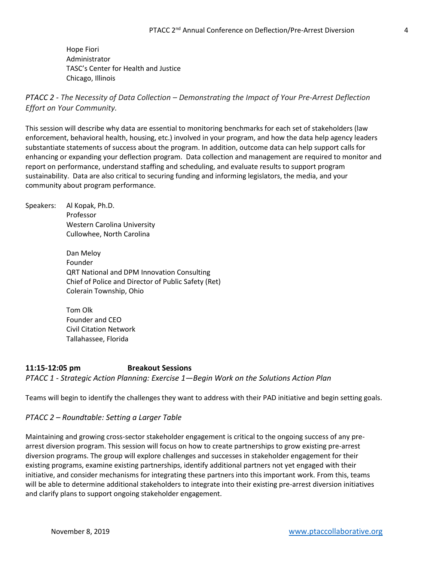Hope Fiori Administrator TASC's Center for Health and Justice Chicago, Illinois

*PTACC 2 - The Necessity of Data Collection – Demonstrating the Impact of Your Pre-Arrest Deflection Effort on Your Community.*

This session will describe why data are essential to monitoring benchmarks for each set of stakeholders (law enforcement, behavioral health, housing, etc.) involved in your program, and how the data help agency leaders substantiate statements of success about the program. In addition, outcome data can help support calls for enhancing or expanding your deflection program. Data collection and management are required to monitor and report on performance, understand staffing and scheduling, and evaluate results to support program sustainability. Data are also critical to securing funding and informing legislators, the media, and your community about program performance.

Speakers: Al Kopak, Ph.D. Professor Western Carolina University Cullowhee, North Carolina Dan Meloy

> Founder QRT National and DPM Innovation Consulting Chief of Police and Director of Public Safety (Ret) Colerain Township, Ohio

Tom Olk Founder and CEO Civil Citation Network Tallahassee, Florida

**11:15-12:05 pm Breakout Sessions** *PTACC 1 - Strategic Action Planning: Exercise 1—Begin Work on the Solutions Action Plan*

Teams will begin to identify the challenges they want to address with their PAD initiative and begin setting goals.

#### *PTACC 2 – Roundtable: Setting a Larger Table*

Maintaining and growing cross-sector stakeholder engagement is critical to the ongoing success of any prearrest diversion program. This session will focus on how to create partnerships to grow existing pre-arrest diversion programs. The group will explore challenges and successes in stakeholder engagement for their existing programs, examine existing partnerships, identify additional partners not yet engaged with their initiative, and consider mechanisms for integrating these partners into this important work. From this, teams will be able to determine additional stakeholders to integrate into their existing pre-arrest diversion initiatives and clarify plans to support ongoing stakeholder engagement.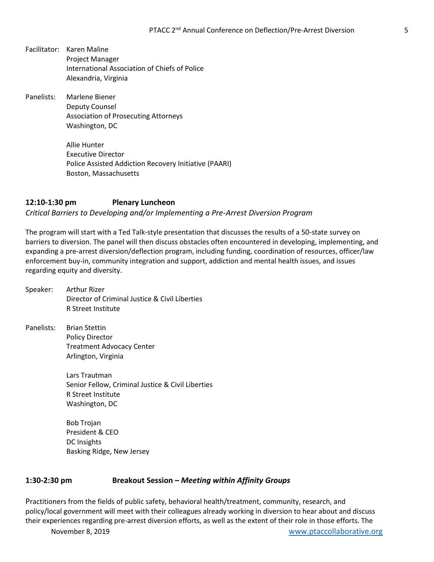- Facilitator: Karen Maline Project Manager International Association of Chiefs of Police Alexandria, Virginia
- Panelists: Marlene Biener Deputy Counsel Association of Prosecuting Attorneys Washington, DC

Allie Hunter Executive Director Police Assisted Addiction Recovery Initiative (PAARI) Boston, Massachusetts

#### **12:10-1:30 pm Plenary Luncheon** *Critical Barriers to Developing and/or Implementing a Pre-Arrest Diversion Program*

The program will start with a Ted Talk-style presentation that discusses the results of a 50-state survey on barriers to diversion. The panel will then discuss obstacles often encountered in developing, implementing, and expanding a pre-arrest diversion/deflection program, including funding, coordination of resources, officer/law enforcement buy-in, community integration and support, addiction and mental health issues, and issues regarding equity and diversity.

- Speaker: Arthur Rizer Director of Criminal Justice & Civil Liberties R Street Institute
- Panelists: Brian Stettin Policy Director Treatment Advocacy Center Arlington, Virginia

Lars Trautman Senior Fellow, Criminal Justice & Civil Liberties R Street Institute Washington, DC

Bob Trojan President & CEO DC Insights Basking Ridge, New Jersey

#### **1:30-2:30 pm Breakout Session –** *Meeting within Affinity Groups*

Practitioners from the fields of public safety, behavioral health/treatment, community, research, and policy/local government will meet with their colleagues already working in diversion to hear about and discuss their experiences regarding pre-arrest diversion efforts, as well as the extent of their role in those efforts. The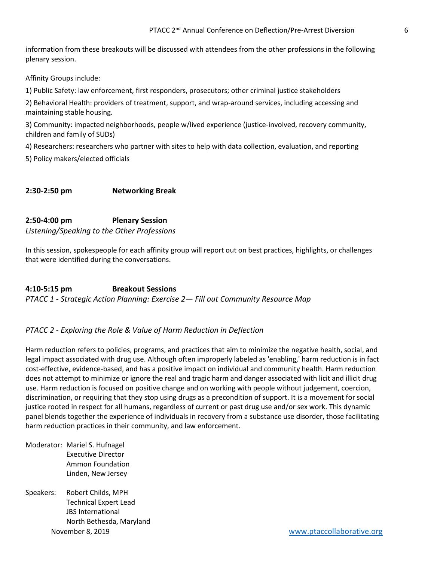information from these breakouts will be discussed with attendees from the other professions in the following plenary session.

Affinity Groups include:

1) Public Safety: law enforcement, first responders, prosecutors; other criminal justice stakeholders

2) Behavioral Health: providers of treatment, support, and wrap-around services, including accessing and maintaining stable housing.

3) Community: impacted neighborhoods, people w/lived experience (justice-involved, recovery community, children and family of SUDs)

4) Researchers: researchers who partner with sites to help with data collection, evaluation, and reporting

5) Policy makers/elected officials

#### **2:30-2:50 pm Networking Break**

#### **2:50-4:00 pm Plenary Session**

*Listening/Speaking to the Other Professions* 

In this session, spokespeople for each affinity group will report out on best practices, highlights, or challenges that were identified during the conversations.

#### **4:10-5:15 pm Breakout Sessions**

*PTACC 1 - Strategic Action Planning: Exercise 2— Fill out Community Resource Map*

#### *PTACC 2 - Exploring the Role & Value of Harm Reduction in Deflection*

Harm reduction refers to policies, programs, and practices that aim to minimize the negative health, social, and legal impact associated with drug use. Although often improperly labeled as 'enabling,' harm reduction is in fact cost-effective, evidence-based, and has a positive impact on individual and community health. Harm reduction does not attempt to minimize or ignore the real and tragic harm and danger associated with licit and illicit drug use. Harm reduction is focused on positive change and on working with people without judgement, coercion, discrimination, or requiring that they stop using drugs as a precondition of support. It is a movement for social justice rooted in respect for all humans, regardless of current or past drug use and/or sex work. This dynamic panel blends together the experience of individuals in recovery from a substance use disorder, those facilitating harm reduction practices in their community, and law enforcement.

- Moderator: Mariel S. Hufnagel Executive Director Ammon Foundation Linden, New Jersey
- November 8, 2019 [www.ptaccollaborative.org](http://www.ptaccollaborative.org/) Speakers: Robert Childs, MPH Technical Expert Lead JBS International North Bethesda, Maryland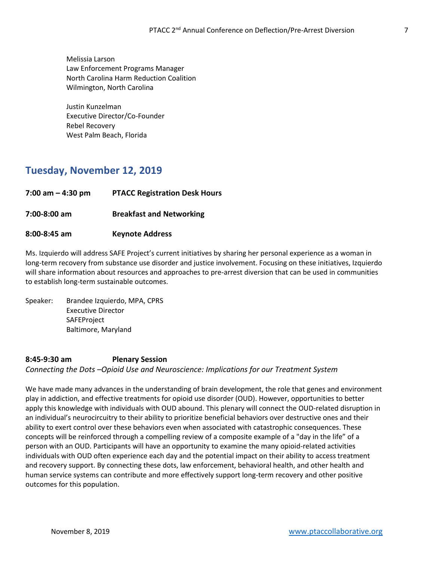Melissia Larson Law Enforcement Programs Manager North Carolina Harm Reduction Coalition Wilmington, North Carolina

Justin Kunzelman Executive Director/Co-Founder Rebel Recovery West Palm Beach, Florida

## **Tuesday, November 12, 2019**

- **7:00 am – 4:30 pm PTACC Registration Desk Hours**
- **7:00-8:00 am Breakfast and Networking**

#### **8:00-8:45 am Keynote Address**

Ms. Izquierdo will address SAFE Project's current initiatives by sharing her personal experience as a woman in long-term recovery from substance use disorder and justice involvement. Focusing on these initiatives, Izquierdo will share information about resources and approaches to pre-arrest diversion that can be used in communities to establish long-term sustainable outcomes.

Speaker: Brandee Izquierdo, MPA, CPRS Executive Director **SAFEProject** Baltimore, Maryland

#### **8:45-9:30 am Plenary Session**

*Connecting the Dots –Opioid Use and Neuroscience: Implications for our Treatment System*

We have made many advances in the understanding of brain development, the role that genes and environment play in addiction, and effective treatments for opioid use disorder (OUD). However, opportunities to better apply this knowledge with individuals with OUD abound. This plenary will connect the OUD-related disruption in an individual's neurocircuitry to their ability to prioritize beneficial behaviors over destructive ones and their ability to exert control over these behaviors even when associated with catastrophic consequences. These concepts will be reinforced through a compelling review of a composite example of a "day in the life" of a person with an OUD. Participants will have an opportunity to examine the many opioid-related activities individuals with OUD often experience each day and the potential impact on their ability to access treatment and recovery support. By connecting these dots, law enforcement, behavioral health, and other health and human service systems can contribute and more effectively support long-term recovery and other positive outcomes for this population.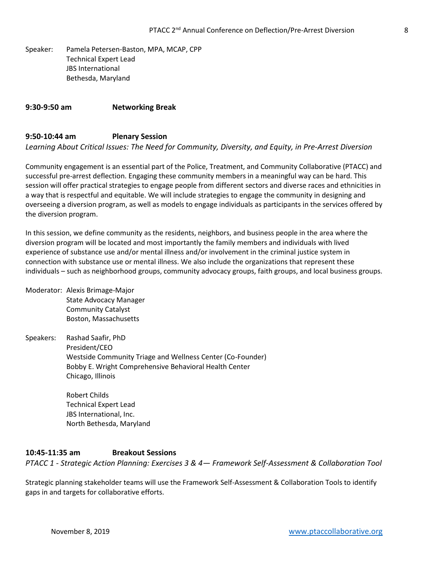Speaker: Pamela Petersen-Baston, MPA, MCAP, CPP Technical Expert Lead JBS International Bethesda, Maryland

#### **9:30-9:50 am Networking Break**

#### **9:50-10:44 am Plenary Session**

*Learning About Critical Issues: The Need for Community, Diversity, and Equity, in Pre-Arrest Diversion*

Community engagement is an essential part of the Police, Treatment, and Community Collaborative (PTACC) and successful pre-arrest deflection. Engaging these community members in a meaningful way can be hard. This session will offer practical strategies to engage people from different sectors and diverse races and ethnicities in a way that is respectful and equitable. We will include strategies to engage the community in designing and overseeing a diversion program, as well as models to engage individuals as participants in the services offered by the diversion program.

In this session, we define community as the residents, neighbors, and business people in the area where the diversion program will be located and most importantly the family members and individuals with lived experience of substance use and/or mental illness and/or involvement in the criminal justice system in connection with substance use or mental illness. We also include the organizations that represent these individuals – such as neighborhood groups, community advocacy groups, faith groups, and local business groups.

Moderator: Alexis Brimage-Major State Advocacy Manager Community Catalyst Boston, Massachusetts

Speakers: Rashad Saafir, PhD President/CEO Westside Community Triage and Wellness Center (Co-Founder) Bobby E. Wright Comprehensive Behavioral Health Center Chicago, Illinois

> Robert Childs Technical Expert Lead JBS International, Inc. North Bethesda, Maryland

#### **10:45-11:35 am Breakout Sessions**

*PTACC 1 - Strategic Action Planning: Exercises 3 & 4— Framework Self-Assessment & Collaboration Tool*

Strategic planning stakeholder teams will use the Framework Self-Assessment & Collaboration Tools to identify gaps in and targets for collaborative efforts.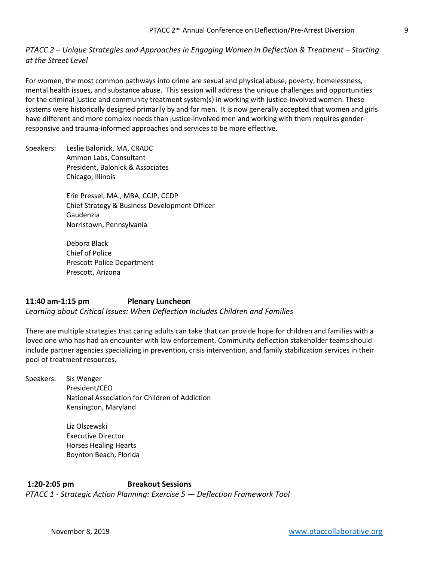#### *PTACC 2 – Unique Strategies and Approaches in Engaging Women in Deflection & Treatment – Starting at the Street Level*

For women, the most common pathways into crime are sexual and physical abuse, poverty, homelessness, mental health issues, and substance abuse. This session will address the unique challenges and opportunities for the criminal justice and community treatment system(s) in working with justice-involved women. These systems were historically designed primarily by and for men. It is now generally accepted that women and girls have different and more complex needs than justice-involved men and working with them requires genderresponsive and trauma-informed approaches and services to be more effective.

Speakers: Leslie Balonick, MA, CRADC Ammon Labs, Consultant President, Balonick & Associates Chicago, Illinois

> Erin Pressel, MA., MBA, CCJP, CCDP Chief Strategy & Business Development Officer Gaudenzia Norristown, Pennsylvania

Debora Black Chief of Police Prescott Police Department Prescott, Arizona

#### **11:40 am-1:15 pm Plenary Luncheon** *Learning about Critical Issues: When Deflection Includes Children and Families*

There are multiple strategies that caring adults can take that can provide hope for children and families with a loved one who has had an encounter with law enforcement. Community deflection stakeholder teams should include partner agencies specializing in prevention, crisis intervention, and family stabilization services in their pool of treatment resources.

Speakers: Sis Wenger President/CEO National Association for Children of Addiction Kensington, Maryland

> Liz Olszewski Executive Director Horses Healing Hearts Boynton Beach, Florida

**1:20-2:05 pm Breakout Sessions** *PTACC 1 - Strategic Action Planning: Exercise 5 — Deflection Framework Tool*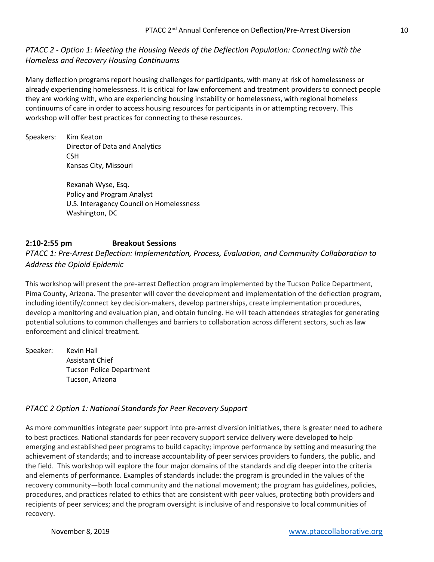#### *PTACC 2 - Option 1: Meeting the Housing Needs of the Deflection Population: Connecting with the Homeless and Recovery Housing Continuums*

Many deflection programs report housing challenges for participants, with many at risk of homelessness or already experiencing homelessness. It is critical for law enforcement and treatment providers to connect people they are working with, who are experiencing housing instability or homelessness, with regional homeless continuums of care in order to access housing resources for participants in or attempting recovery. This workshop will offer best practices for connecting to these resources.

Speakers: Kim Keaton Director of Data and Analytics CSH Kansas City, Missouri

> Rexanah Wyse, Esq. Policy and Program Analyst U.S. Interagency Council on Homelessness Washington, DC

#### **2:10-2:55 pm Breakout Sessions**

#### *PTACC 1: Pre-Arrest Deflection: Implementation, Process, Evaluation, and Community Collaboration to Address the Opioid Epidemic*

This workshop will present the pre-arrest Deflection program implemented by the Tucson Police Department, Pima County, Arizona. The presenter will cover the development and implementation of the deflection program, including identify/connect key decision-makers, develop partnerships, create implementation procedures, develop a monitoring and evaluation plan, and obtain funding. He will teach attendees strategies for generating potential solutions to common challenges and barriers to collaboration across different sectors, such as law enforcement and clinical treatment.

Speaker: Kevin Hall Assistant Chief Tucson Police Department Tucson, Arizona

#### *PTACC 2 Option 1: National Standards for Peer Recovery Support*

As more communities integrate peer support into pre-arrest diversion initiatives, there is greater need to adhere to best practices. National standards for peer recovery support service delivery were developed **to** help emerging and established peer programs to build capacity; improve performance by setting and measuring the achievement of standards; and to increase accountability of peer services providers to funders, the public, and the field. This workshop will explore the four major domains of the standards and dig deeper into the criteria and elements of performance. Examples of standards include: the program is grounded in the values of the recovery community—both local community and the national movement; the program has guidelines, policies, procedures, and practices related to ethics that are consistent with peer values, protecting both providers and recipients of peer services; and the program oversight is inclusive of and responsive to local communities of recovery.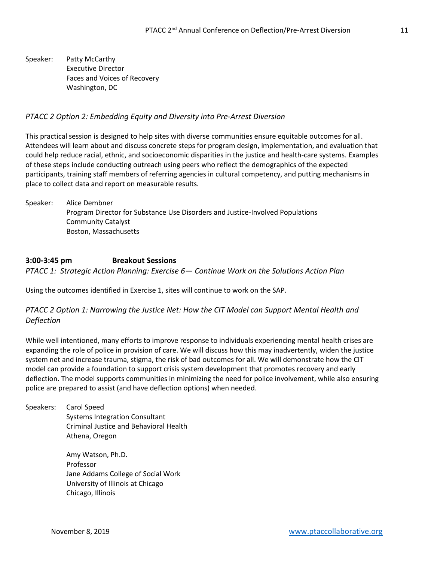Speaker: Patty McCarthy Executive Director Faces and Voices of Recovery Washington, DC

#### *PTACC 2 Option 2: Embedding Equity and Diversity into Pre-Arrest Diversion*

This practical session is designed to help sites with diverse communities ensure equitable outcomes for all. Attendees will learn about and discuss concrete steps for program design, implementation, and evaluation that could help reduce racial, ethnic, and socioeconomic disparities in the justice and health-care systems. Examples of these steps include conducting outreach using peers who reflect the demographics of the expected participants, training staff members of referring agencies in cultural competency, and putting mechanisms in place to collect data and report on measurable results.

Speaker: Alice Dembner Program Director for Substance Use Disorders and Justice-Involved Populations Community Catalyst Boston, Massachusetts

#### **3:00-3:45 pm Breakout Sessions**

*PTACC 1: Strategic Action Planning: Exercise 6— Continue Work on the Solutions Action Plan*

Using the outcomes identified in Exercise 1, sites will continue to work on the SAP.

#### *PTACC 2 Option 1: Narrowing the Justice Net: How the CIT Model can Support Mental Health and Deflection*

While well intentioned, many efforts to improve response to individuals experiencing mental health crises are expanding the role of police in provision of care. We will discuss how this may inadvertently, widen the justice system net and increase trauma, stigma, the risk of bad outcomes for all. We will demonstrate how the CIT model can provide a foundation to support crisis system development that promotes recovery and early deflection. The model supports communities in minimizing the need for police involvement, while also ensuring police are prepared to assist (and have deflection options) when needed.

Speakers: Carol Speed Systems Integration Consultant Criminal Justice and Behavioral Health Athena, Oregon

> Amy Watson, Ph.D. Professor Jane Addams College of Social Work University of Illinois at Chicago Chicago, Illinois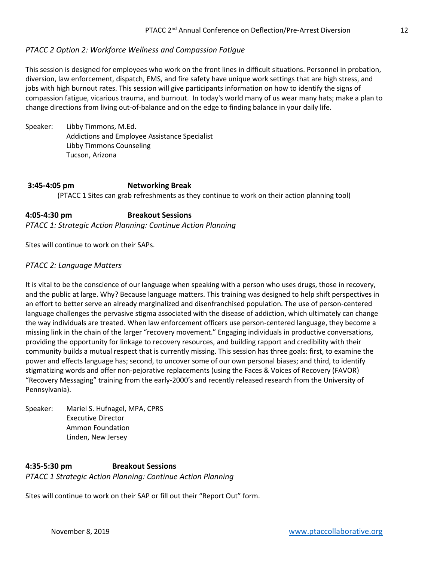#### *PTACC 2 Option 2: Workforce Wellness and Compassion Fatigue*

This session is designed for employees who work on the front lines in difficult situations. Personnel in probation, diversion, law enforcement, dispatch, EMS, and fire safety have unique work settings that are high stress, and jobs with high burnout rates. This session will give participants information on how to identify the signs of compassion fatigue, vicarious trauma, and burnout. In today's world many of us wear many hats; make a plan to change directions from living out-of-balance and on the edge to finding balance in your daily life.

Speaker: Libby Timmons, M.Ed. Addictions and Employee Assistance Specialist Libby Timmons Counseling Tucson, Arizona

## **3:45-4:05 pm Networking Break** (PTACC 1 Sites can grab refreshments as they continue to work on their action planning tool)

**4:05-4:30 pm Breakout Sessions** *PTACC 1: Strategic Action Planning: Continue Action Planning*

Sites will continue to work on their SAPs.

#### *PTACC 2: Language Matters*

It is vital to be the conscience of our language when speaking with a person who uses drugs, those in recovery, and the public at large. Why? Because language matters. This training was designed to help shift perspectives in an effort to better serve an already marginalized and disenfranchised population. The use of person-centered language challenges the pervasive stigma associated with the disease of addiction, which ultimately can change the way individuals are treated. When law enforcement officers use person-centered language, they become a missing link in the chain of the larger "recovery movement." Engaging individuals in productive conversations, providing the opportunity for linkage to recovery resources, and building rapport and credibility with their community builds a mutual respect that is currently missing. This session has three goals: first, to examine the power and effects language has; second, to uncover some of our own personal biases; and third, to identify stigmatizing words and offer non-pejorative replacements (using the Faces & Voices of Recovery (FAVOR) "Recovery Messaging" training from the early-2000's and recently released research from the University of Pennsylvania).

Speaker: Mariel S. Hufnagel, MPA, CPRS Executive Director Ammon Foundation Linden, New Jersey

#### **4:35-5:30 pm Breakout Sessions** *PTACC 1 Strategic Action Planning: Continue Action Planning*

Sites will continue to work on their SAP or fill out their "Report Out" form.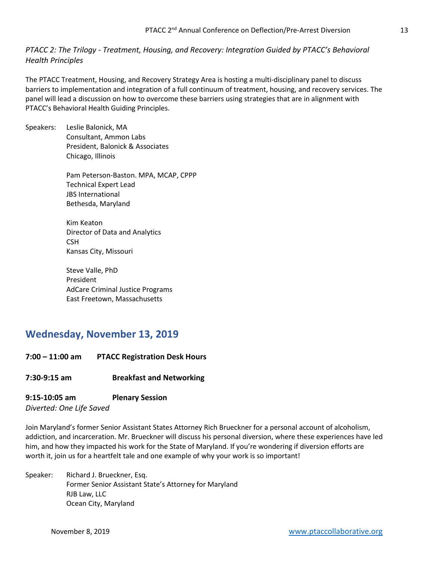*PTACC 2: The Trilogy - Treatment, Housing, and Recovery: Integration Guided by PTACC's Behavioral Health Principles*

The PTACC Treatment, Housing, and Recovery Strategy Area is hosting a multi-disciplinary panel to discuss barriers to implementation and integration of a full continuum of treatment, housing, and recovery services. The panel will lead a discussion on how to overcome these barriers using strategies that are in alignment with PTACC's Behavioral Health Guiding Principles.

Speakers: Leslie Balonick, MA Consultant, Ammon Labs President, Balonick & Associates Chicago, Illinois

> Pam Peterson-Baston. MPA, MCAP, CPPP Technical Expert Lead JBS International Bethesda, Maryland

Kim Keaton Director of Data and Analytics CSH Kansas City, Missouri

Steve Valle, PhD President AdCare Criminal Justice Programs East Freetown, Massachusetts

## **Wednesday, November 13, 2019**

**7:00 – 11:00 am PTACC Registration Desk Hours**

#### **7:30-9:15 am Breakfast and Networking**

#### **9:15-10:05 am Plenary Session**

*Diverted: One Life Saved*

Join Maryland's former Senior Assistant States Attorney Rich Brueckner for a personal account of alcoholism, addiction, and incarceration. Mr. Brueckner will discuss his personal diversion, where these experiences have led him, and how they impacted his work for the State of Maryland. If you're wondering if diversion efforts are worth it, join us for a heartfelt tale and one example of why your work is so important!

Speaker: Richard J. Brueckner, Esq. Former Senior Assistant State's Attorney for Maryland RJB Law, LLC Ocean City, Maryland